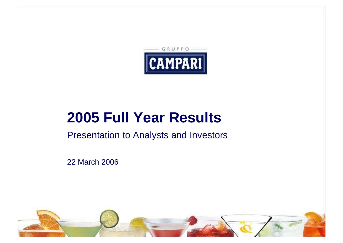

# **2005 Full Year Results**

Presentation to Analysts and Investors

22 March 2006

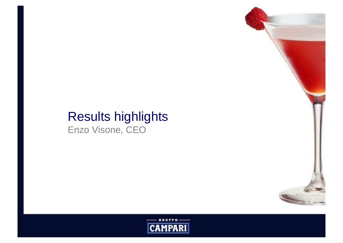### Results highlightsEnzo Visone, CEO



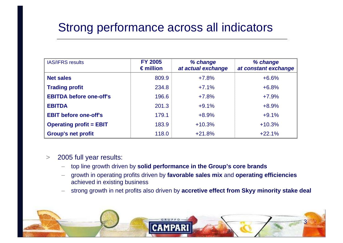# Strong performance across all indicators

| <b>IAS/IFRS results</b>        | <b>FY 2005</b><br>$\epsilon$ million | % change<br>at actual exchange | % change<br>at constant exchange |
|--------------------------------|--------------------------------------|--------------------------------|----------------------------------|
| <b>Net sales</b>               | 809.9                                | $+7.8%$                        | $+6.6%$                          |
| <b>Trading profit</b>          | 234.8                                | $+7.1%$                        | $+6.8%$                          |
| <b>EBITDA before one-off's</b> | 196.6                                | $+7.8%$                        | $+7.9%$                          |
| <b>EBITDA</b>                  | 201.3                                | $+9.1%$                        | $+8.9%$                          |
| <b>EBIT before one-off's</b>   | 179.1                                | $+8.9%$                        | $+9.1%$                          |
| <b>Operating profit = EBIT</b> | 183.9                                | $+10.3%$                       | $+10.3%$                         |
| <b>Group's net profit</b>      | 118.0                                | $+21.8%$                       | $+22.1%$                         |

#### $\geq$ 2005 full year results:

- –top line growth driven by **solid performance in the Group's core brands**
- growth in operating profits driven by **favorable sales mix** and **operating efficiencies** achieved in existing business
- strong growth in net profits also driven by **accretive effect from Skyy minority stake deal**

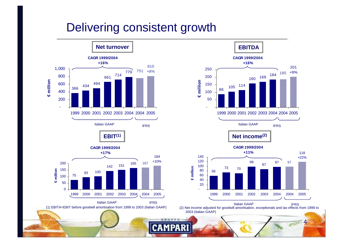### Delivering consistent growth



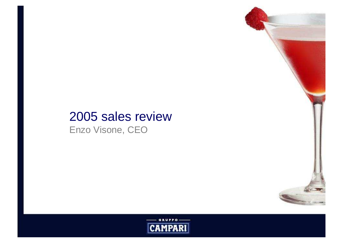# 2005 sales review

Enzo Visone, CEO



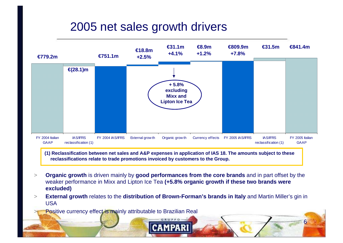# 2005 net sales growth drivers



**(1) Reclassification between net sales and A&P expenses in application of IAS 18. The amounts subject to these reclassifications relate to trade promotions invoiced by customers to the Group.** 

- > **Organic growth** is driven mainly by **good performances from the core brands** and in part offset by the weaker performance in Mixx and Lipton Ice Tea **(+5.8% organic growth if these two brands were excluded)**
- $>$  **External growth** relates to the **distribution of Brown-Forman's brands in Italy** and Martin Miller's gin in USA

6

> Positive currency effect is mainly attributable to Brazilian Real >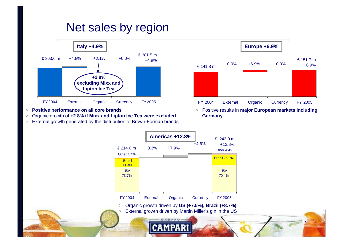# Net sales by region



- >**Positive performance on all core brands**
- >Organic growth of **+2.8% if Mixx and Lipton Ice Tea were excluded**
- External growth generated by the distribution of Brown-Forman brands >

>



> Positive results in **major European markets including Germany**

7



External growth driven by Martin Miller's gin in the US

CAMPAR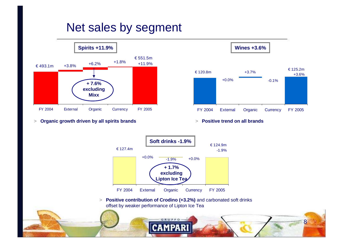# Net sales by segment



>**Organic growth driven by all spirits brands**



8

> **Positive trend on all brands**



> **Positive contribution of Crodino (+3.2%)** and carbonated soft drinks offset by weaker performance of Lipton Ice Tea

РA

CAM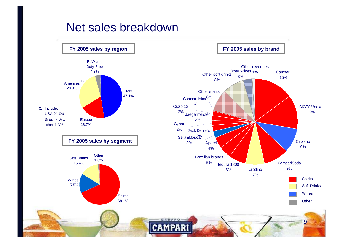### Net sales breakdown

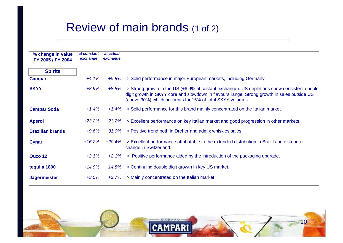# Review of main brands (1 of 2)

| % change in value<br>FY 2005 / FY 2004 | at constant<br>exchange | at actual<br>exchange |                                                                                                                                                                                                                                                         |
|----------------------------------------|-------------------------|-----------------------|---------------------------------------------------------------------------------------------------------------------------------------------------------------------------------------------------------------------------------------------------------|
| <b>Spirits</b>                         |                         |                       |                                                                                                                                                                                                                                                         |
| <b>Campari</b>                         | $+4.1%$                 | $+5.8%$               | > Solid performance in major European markets, including Germany.                                                                                                                                                                                       |
| <b>SKYY</b>                            | $+8.9%$                 | +8.8%                 | > Strong growth in the US (+6.9% at costant exchange). US depletions show consistent double<br>digit growth in SKYY core and slowdown in flavours range. Strong growth in sales outside US<br>(above 30%) which accounts for 15% of total SKYY volumes. |
| <b>CampariSoda</b>                     | $+1.4%$                 | $+1.4%$               | > Solid performance for this brand mainly concentrated on the Italian market.                                                                                                                                                                           |
| <b>Aperol</b>                          | $+23.2%$                | $+23.2\%$             | > Excellent performance on key Italian market and good progression in other markets.                                                                                                                                                                    |
| <b>Brazilian brands</b>                | $+9.6%$                 | $+31.0%$              | > Positive trend both in Dreher and admix whiskies sales.                                                                                                                                                                                               |
| <b>Cynar</b>                           | $+16.2\%$               | +20.4%                | > Excellent performance attributable to the extended distribution in Brazil and distributor<br>change in Switzerland.                                                                                                                                   |
| Ouzo 12                                | $+2.1%$                 | $+2.1%$               | > Positive performance aided by the introduction of the packaging upgrade.                                                                                                                                                                              |
| tequila 1800                           | $+14.9%$                | $+14.8\%$             | > Continuing double digit growth in key US market.                                                                                                                                                                                                      |
| <b>Jägermeister</b>                    | $+3.5%$                 | $+3.7%$               | > Mainly concentrated on the Italian market.                                                                                                                                                                                                            |

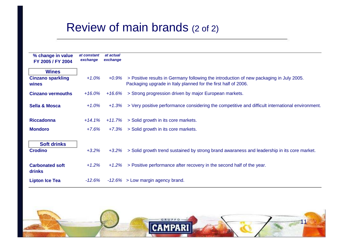## Review of main brands (2 of 2)

| % change in value<br>FY 2005 / FY 2004 | at constant<br>exchange | at actual<br>exchange |                                                                                                                                                           |
|----------------------------------------|-------------------------|-----------------------|-----------------------------------------------------------------------------------------------------------------------------------------------------------|
| <b>Wines</b>                           |                         |                       |                                                                                                                                                           |
| <b>Cinzano sparkling</b><br>wines      | $+1.0%$                 | +0.9%                 | > Positive results in Germany following the introduction of new packaging in July 2005.<br>Packaging upgrade in Italy planned for the first half of 2006. |
| <b>Cinzano vermouths</b>               | +16.0%                  | +16.6%                | > Strong progression driven by major European markets.                                                                                                    |
| <b>Sella &amp; Mosca</b>               | $+1.0%$                 | +1.3%                 | > Very positive performance considering the competitive and difficult international environment.                                                          |
| <b>Riccadonna</b>                      | $+14.1\%$               | $+11.7%$              | > Solid growth in its core markets.                                                                                                                       |
| <b>Mondoro</b>                         | $+7.6%$                 | $+7.3%$               | > Solid growth in its core markets.                                                                                                                       |
| <b>Soft drinks</b><br><b>Crodino</b>   | $+3.2%$                 | $+3.2%$               | > Solid growth trend sustained by strong brand awaraness and leadership in its core market.                                                               |
| <b>Carbonated soft</b><br>drinks       | $+1.2%$                 | $+1.2%$               | > Positive performance after recovery in the second half of the year.                                                                                     |
| <b>Lipton Ice Tea</b>                  | -12.6%                  |                       | $-12.6\% >$ Low margin agency brand.                                                                                                                      |

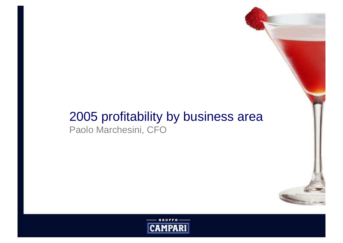### 2005 profitability by business areaPaolo Marchesini, CFO

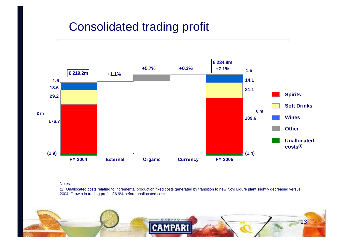## Consolidated trading profit



#### Notes:

(1) Unallocated costs relating to incremental production fixed costs generated by transition to new Novi Ligure plant slightly decreased versus 2004. Growth in trading profit of 6.9% before unallocated costs.

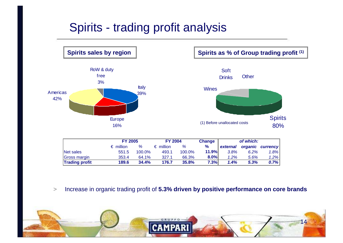# Spirits - trading profit analysis



Spirits sales by region  $\vert$  **Spirits as % of Group trading profit**  $(1)$ 



|                       |                    | <b>FY 2005</b> |                    | <b>FY 2004</b> |         | of which: |      |                  |
|-----------------------|--------------------|----------------|--------------------|----------------|---------|-----------|------|------------------|
|                       | $\epsilon$ million | %              | $\epsilon$ million | %              | %       | external  |      | organic currency |
| Net sales             | 551.5              | 100.0%         | 493.1              | 100.0%         | 11.9%   | 3.8%      | 6.2% | 1.8%             |
| Gross margin          | 353.4              | 64.1%          | 327.1              | 66.3%          | $8.0\%$ | 1.2%      | 5.6% | 1.2%             |
| <b>Trading profit</b> | 189.6              | 34.4%          | 176.7              | 35.8%          | 7.3%    | 1.4%      | 5.3% | 0.7%             |

>Increase in organic trading profit of **5.3% driven by positive performance on core brands**

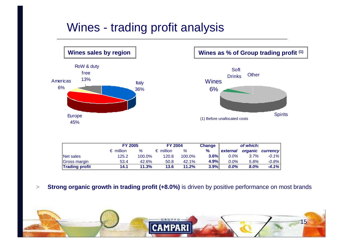# Wines - trading profit analysis



Wines sales by region  $\parallel$  **Wines as % of Group trading profit** (1)



| <b>FY 2005</b>     |       | <b>FY 2004</b>     |        | <b>Change</b> | of which: |                         |                  |
|--------------------|-------|--------------------|--------|---------------|-----------|-------------------------|------------------|
| $\epsilon$ million | %     | $\epsilon$ million | %      | %             | external  |                         | organic currency |
| 125.2              |       | 120.8              | 100.0% |               | 0.0%      |                         | $-0.1%$          |
| 53.4               | 42.6% | 50.8               | 42.1%  |               | $0.0\%$   | 5.8%                    | $-0.8%$          |
| 14.1               | 11.3% | 13.6               | 11.2%  |               | 0.0%      | 8.0%                    | $-4.1%$          |
|                    |       |                    | 100.0% |               |           | $3.6\%$<br>4.9%<br>3.9% | 3.7%             |

>**Strong organic growth in trading profit (+8.0%)** is driven by positive performance on most brands

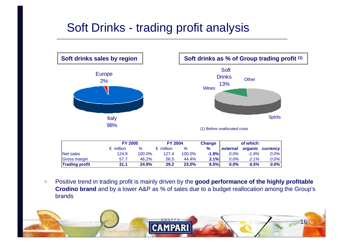# Soft Drinks - trading profit analysis



 $\geq$  Positive trend in trading profit is mainly driven by the **good performance of the highly profitable Crodino brand** and by a lower A&P as % of sales due to a budget reallocation among the Group's brands

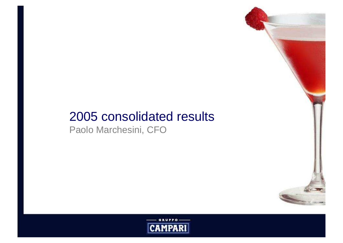# 2005 consolidated results

Paolo Marchesini, CFO

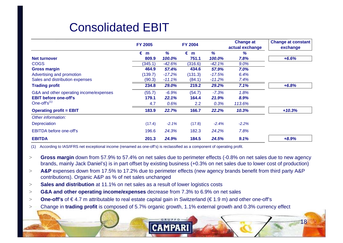# Consolidated EBIT

|                                         | <b>FY 2005</b> |          | <b>FY 2004</b> |           | <b>Change at</b><br>actual exchange | <b>Change at constant</b><br>exchange |
|-----------------------------------------|----------------|----------|----------------|-----------|-------------------------------------|---------------------------------------|
|                                         | €<br>m         | %        | €<br>m         | %         | %                                   |                                       |
| Net turnover                            | 809.9          | 100.0%   | 751.1          | 100.0%    | 7.8%                                | $+6.6%$                               |
| <b>COGS</b>                             | (345.1)        | $-42.6%$ | (316.6)        | $-42.1%$  | 9.0%                                |                                       |
| <b>Gross margin</b>                     | 464.9          | 57.4%    | 434.6          | 57.9%     | 7.0%                                |                                       |
| Advertising and promotion               | (139.7)        | $-17.2%$ | (131.3)        | $-17.5%$  | 6.4%                                |                                       |
| Sales and distribution expenses         | (90.3)         | $-11.1%$ | (84.1)         | $-11.2\%$ | 7.4%                                |                                       |
| <b>Trading profit</b>                   | 234.8          | 29.0%    | 219.2          | 29.2%     | 7.1%                                | $+6.8%$                               |
| G&A and other operating income/expenses | (55.7)         | $-6.9%$  | (54.7)         | $-7.3%$   | 1.8%                                |                                       |
| <b>EBIT before one-off's</b>            | 179.1          | 22.1%    | 164.4          | 21.9%     | 8.9%                                |                                       |
| One-off's $^{(1)}$                      | 4.7            | 0.6%     | 2.2            | 0.3%      | 113.6%                              |                                       |
| <b>Operating profit = EBIT</b>          | 183.9          | 22.7%    | 166.7          | 22.2%     | 10.3%                               | $+10.3%$                              |
| Other information:                      |                |          |                |           |                                     |                                       |
| <b>Depreciation</b>                     | (17.4)         | $-2.1%$  | (17.8)         | $-2.4%$   | $-2.2%$                             |                                       |
| <b>EBITDA before one-off's</b>          | 196.6          | 24.3%    | 182.3          | 24.2%     | 7.8%                                |                                       |
| <b>EBITDA</b>                           | 201.3          | 24.9%    | 184.5          | 24.5%     | 9.1%                                | $+8.9%$                               |

(1) According to IAS/IFRS net exceptional income (renamed as one-off's) is reclassified as a component of operating profit.

- > **Gross margin** down from 57.9% to 57.4% on net sales due to perimeter effects (-0.8% on net sales due to new agency brands, mainly Jack Daniel's) is in part offset by existing business (+0.3% on net sales due to lower cost of production)
- >**A&P** expenses down from 17.5% to 17.2% due to perimeter effects (new agency brands benefit from third party A&P contributions). Organic A&P as % of net sales unchanged
- **Sales and distribution** at 11.1% on net sales as a result of lower logistics costs >
- >**G&A and other operating income/expenses** decrease from 7.3% to 6.9% on net sales
- >**One-off's** of €4.7 m attributable to real estate capital gain in Switzerland (€1.9 m) and other one-off's
- >Change in **trading profit** is composed of 5.7% organic growth, 1.1% external growth and 0.3% currency effect

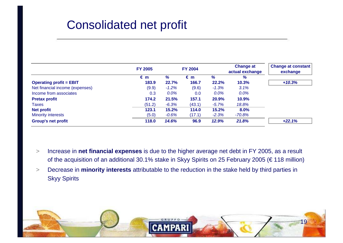# Consolidated net profit

|                                 | <b>FY 2005</b> |         | <b>FY 2004</b> |              | <b>Change at</b><br>actual exchange | <b>Change at constant</b><br>exchange |
|---------------------------------|----------------|---------|----------------|--------------|-------------------------------------|---------------------------------------|
|                                 | $\epsilon$ m   | %       | € m            | %            | %                                   |                                       |
| <b>Operating profit = EBIT</b>  | 183.9          | 22.7%   | 166.7          | <b>22.2%</b> | 10.3%                               | $+10.3%$                              |
| Net financial income (expenses) | (9.9)          | $-1.2%$ | (9.6)          | $-1.3%$      | 3.1%                                |                                       |
| Income from associates          | 0.3            | $0.0\%$ | 0.0            | $0.0\%$      | 0.0%                                |                                       |
| <b>Pretax profit</b>            | 174.2          | 21.5%   | 157.1          | 20.9%        | 10.9%                               |                                       |
| <b>Taxes</b>                    | (51.2)         | $-6.3%$ | (43.1)         | $-5.7%$      | 18.8%                               |                                       |
| <b>Net profit</b>               | 123.1          | 15.2%   | 114.0          | 15.2%        | 8.0%                                |                                       |
| <b>Minority interests</b>       | (5.0)          | $-0.6%$ | (17.1)         | $-2.3%$      | $-70.8%$                            |                                       |
| <b>Group's net profit</b>       | 118.0          | 14.6%   | 96.9           | 12.9%        | 21.8%                               | $+22.1%$                              |

- > Increase in **net financial expenses** is due to the higher average net debt in FY 2005, as a result of the acquisition of an additional 30.1% stake in Skyy Spirits on 25 February 2005 (€ 118 million)
- $>$  Decrease in **minority interests** attributable to the reduction in the stake held by third parties in Skyy Spirits

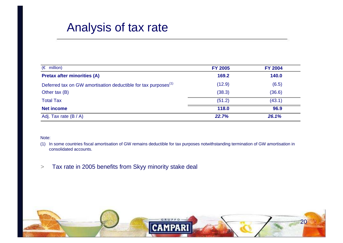### Analysis of tax rate

| $(\epsilon$ million)                                                       | <b>FY 2005</b> | <b>FY 2004</b> |
|----------------------------------------------------------------------------|----------------|----------------|
| <b>Pretax after minorities (A)</b>                                         | 169.2          | 140.0          |
| Deferred tax on GW amortisation deductible for tax purposes <sup>(1)</sup> | (12.9)         | (6.5)          |
| Other tax (B)                                                              | (38.3)         | (36.6)         |
| <b>Total Tax</b>                                                           | (51.2)         | (43.1)         |
| <b>Net income</b>                                                          | 118.0          | 96.9           |
| Adj. Tax rate (B / A)                                                      | 22.7%          | 26.1%          |

#### Note:

- (1) In some countries fiscal amortisation of GW remains deductible for tax purposes notwithstanding termination of GW amortisation in consolidated accounts.
- >Tax rate in 2005 benefits from Skyy minority stake deal

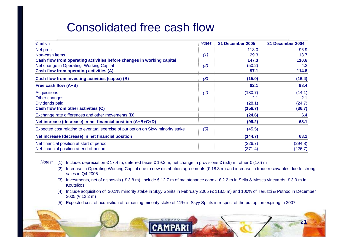# Consolidated free cash flow

| $\epsilon$ million                                                               | Notes i | 31 December 2005 | 31 December 2004 |
|----------------------------------------------------------------------------------|---------|------------------|------------------|
| Net profit                                                                       |         | 118.0            | 96.9             |
| Non-cash items                                                                   | (1)     | 29.3             | 13.7             |
| Cash flow from operating activities before changes in working capital            |         | 147.3            | 110.6            |
| Net change in Operating Working Capital                                          | (2)     | (50.2)           | 4.2              |
| Cash flow from operating activities (A)                                          |         | 97.1             | 114.8            |
| Cash flow from investing activities (capex) (B)                                  | (3)     | (15.0)           | (16.4)           |
| Free cash flow (A+B)                                                             |         | 82.1             | 98.4             |
| <b>Acquisitions</b>                                                              | (4)     | (130.7)          | (14.1)           |
| Other changes                                                                    |         | 2.1              | 2.1              |
| Dividends paid                                                                   |         | (28.1)           | (24.7)           |
| Cash flow from other activities (C)                                              |         | (156.7)          | (36.7)           |
| Exchange rate differences and other movements (D)                                |         | (24.6)           | 6.4              |
| Net increase (decrease) in net financial position (A+B+C+D)                      |         | (99.2)           | 68.1             |
| Expected cost relating to eventual exercise of put option on Skyy minority stake | (5)     | (45.5)           |                  |
| Net increase (decrease) in net financial position                                |         | (144.7)          | 68.1             |
| Net financial position at start of period                                        |         | (226.7)          | (294.8)          |
| Net financial position at end of period                                          |         | (371.4)          | (226.7)          |

Notes: (1) Include: depreciation € 17.4 m, deferred taxes € 19.3 m, net change in provisions € (5.9) m, other € (1.6) m

- (2) Increase in Operating Working Capital due to new distribution agreements (€ 18.3 m) and increase in trade receivables due to strong sales in Q4 2005
- (3) Investments, net of disposals ( € 3.8 m), include € 12.7 m of maintenance capex, € 2.2 m in Sella & Mosca vineyards, € 3.9 m in Koutsikos
- (4) Include acquisition of 30.1% minority stake in Skyy Spirits in February 2005 (€ 118.5 m) and 100% of Teruzzi & Puthod in December 2005 (€ 12.2 m)
- (5) Expected cost of acquisition of remaining minority stake of 11% in Skyy Spirits in respect of the put option expiring in 2007

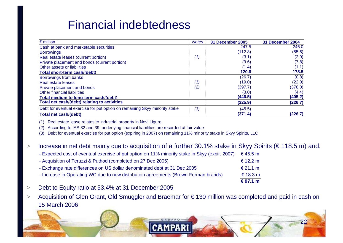# Financial indebtedness

| $\epsilon$ million                                                         | <b>Notes</b> | <b>31 December 2005</b> | 31 December 2004 |
|----------------------------------------------------------------------------|--------------|-------------------------|------------------|
| Cash at bank and marketable securities                                     |              | 247.5                   | 246.0            |
| <b>Borrowings</b>                                                          |              | (112.8)                 | (55.6)           |
| Real estate leases (current portion)                                       | (1)          | (3.1)                   | (2.9)            |
| Private placement and bonds (current portion)                              |              | (9.6)                   | (7.8)            |
| Other assets or liabilities                                                |              | (1.4)                   | (1.1)            |
| Total short-term cash/(debt)                                               |              | 120.6                   | 178.5            |
| Borrowings from banks                                                      |              | (26.7)                  | (0.8)            |
| Real estate leases                                                         | (1)          | (19.0)                  | (22.0)           |
| Private placement and bonds                                                | (2)          | (397.7)                 | (378.0)          |
| <b>Other financial liabilities</b>                                         |              | (3.0)                   | (4.4)            |
| Total medium to long-term cash/(debt)                                      |              | (446.5)                 | (405.2)          |
| Total net cash/(debt) relating to activities                               |              | (325.9)                 | (226.7)          |
| Debt for eventual exercise for put option on remaining Skyy minority stake | (3)          | (45.5)                  |                  |
| <b>Total net cash/(debt)</b>                                               |              | (371.4)                 | (226.7)          |

(1) Real estate lease relates to industrial property in Novi Ligure

(2) According to IAS 32 and 39, underlying financial liabilities are recorded at fair value

(3) Debt for eventual exercise for put option (expiring in 2007) on remaining 11% minority stake in Skyy Spirits, LLC

#### >Increase in net debt mainly due to acquisition of a further 30.1% stake in Skyy Spirits (€ 118.5 m) and:

|                                                                                                | € 97.1 m   |
|------------------------------------------------------------------------------------------------|------------|
| - Increase in Operating WC due to new distribution agreements (Brown-Forman brands)            | € 18.3 $m$ |
| - Exchange rate differences on US dollar denominated debt at 31 Dec 2005                       | € 21.1 m   |
| - Acquisition of Teruzzi & Puthod (completed on 27 Dec 2005)                                   | € 12.2 m   |
| - Expected cost of eventual exercise of put option on 11% minority stake in Skyy (expir. 2007) | € 45.5 m   |

- >Debt to Equity ratio at 53.4% at 31 December 2005
- > Acquisition of Glen Grant, Old Smuggler and Braemar for € 130 million was completed and paid in cash on 15 March 2006

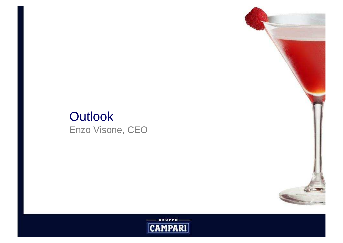# **Outlook** Enzo Visone, CEO



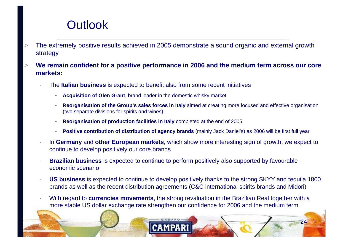# **Outlook**

- > The extremely positive results achieved in 2005 demonstrate a sound organic and external growth strategy
- > **We remain confident for a positive performance in 2006 and the medium term across our core markets:**
	- The **Italian business** is expected to benefit also from some recent initiatives
		- •**Acquisition of Glen Grant**, brand leader in the domestic whisky market
		- • **Reorganisation of the Group's sales forces in Italy** aimed at creating more focused and effective organisation (two separate divisions for spirits and wines)
		- •**Reorganisation of production facilities in Italy** completed at the end of 2005
		- •**Positive contribution of distribution of agency brands** (mainly Jack Daniel's) as 2006 will be first full year
	- - In **Germany** and **other European markets**, which show more interesting sign of growth, we expect to continue to develop positively our core brands
	- **Brazilian business** is expected to continue to perform positively also supported by favourable economic scenario
	- - **US business** is expected to continue to develop positively thanks to the strong SKYY and tequila 1800 brands as well as the recent distribution agreements (C&C international spirits brands and Midori)
	- With regard to **currencies movements**, the strong revaluation in the Brazilian Real together with a more stable US dollar exchange rate strengthen our confidence for 2006 and the medium term

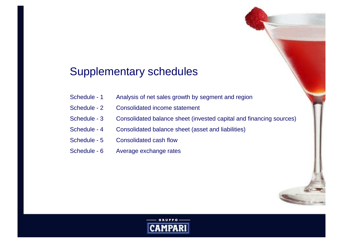#### Supplementary schedules

- Schedule 1 Analysis of net sales growth by segment and region
- Schedule 2 Consolidated income statement
- Schedule 3 Consolidated balance sheet (invested capital and financing sources)
- Schedule 4 Consolidated balance sheet (asset and liabilities)
- Schedule 5 Consolidated cash flow
- Schedule 6 Average exchange rates

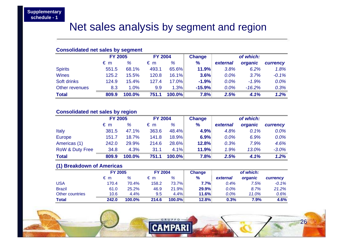#### Net sales analysis by segment and region

#### **Consolidated net sales by segment**

|                | <b>FY 2005</b> |        | <b>FY 2004</b> |        | <b>Change</b> | of which: |          |          |
|----------------|----------------|--------|----------------|--------|---------------|-----------|----------|----------|
|                | $\epsilon$ m   | %      | $\epsilon$ m   | %      | $\frac{9}{6}$ | external  | organic  | currency |
| <b>Spirits</b> | 551.5          | 68.1%  | 493.1          | 65.6%  | 11.9%         | 3.8%      | 6.2%     | 1.8%     |
| <b>Wines</b>   | 125.2          | 15.5%  | 120.8          | 16.1%  | 3.6%          | 0.0%      | 3.7%     | $-0.1%$  |
| Soft drinks    | 124.9          | 15.4%  | 127.4          | 17.0%  | $-1.9%$       | 0.0%      | $-1.9%$  | 0.0%     |
| Other revenues | 8.3            | 1.0%   | 9.9            | 1.3%   | $-15.9%$      | 0.0%      | $-16.2%$ | 0.3%     |
| <b>Total</b>   | 809.9          | 100.0% | 751.1          | 100.0% | 7.8%          | 2.5%      | 4.1%     | 1.2%     |

#### **Consolidated net sales by region**

|                            | <b>FY 2005</b> |        | <b>FY 2004</b> |              | <b>Change</b> |          | of which: |          |
|----------------------------|----------------|--------|----------------|--------------|---------------|----------|-----------|----------|
|                            | € m            | %      | $\epsilon$ m   | %            | $\frac{9}{6}$ | external | organic   | currency |
| <b>Italy</b>               | 381.5          | 47.1%  | 363.6          | 48.4%        | 4.9%          | 4.8%     | 0.1%      | $0.0\%$  |
| <b>Europe</b>              | 151.7          | 18.7%  | 141.8          | <b>18.9%</b> | 6.9%          | 0.0%     | 6.9%      | $0.0\%$  |
| Americas (1)               | 242.0          | 29.9%  | 214.6          | 28.6%        | 12.8%         | 0.3%     | 7.9%      | 4.6%     |
| <b>RoW &amp; Duty Free</b> | 34.8           | 4.3%   | 31.1           | 4.1%         | 11.9%         | 1.9%     | 13.0%     | $-3.0%$  |
| <b>Total</b>               | 809.9          | 100.0% | 751.1          | 100.0%       | 7.8%          | 2.5%     | 4.1%      | 1.2%     |

#### **(1) Breakdown of Americas**

|                 | <b>FY 2005</b> |        | <b>FY 2004</b> |           | <b>Change</b> |          | of which: |          |
|-----------------|----------------|--------|----------------|-----------|---------------|----------|-----------|----------|
|                 | € m            | %      | € m            | %         | $\frac{9}{6}$ | external | organic   | currency |
| <b>USA</b>      | 170.4          | 70.4%  | 158.2          | 73.7%     | $7.7\%$       | 0.4%     | 7.5%      | $-0.1\%$ |
| <b>Brazil</b>   | 61.0           | 25.2%  | 46.9           | 21.9%     | 29.9%         | $0.0\%$  | 8.7%      | 21.2%    |
| Other countries | 10.6           | 4.4%   | 9.5            | 4.4%      | 11.6%         | $0.0\%$  | 11.0%     | 0.6%     |
| <b>Total</b>    | 242.0          | 100.0% | 214.6          | $100.0\%$ | 12.8%         | 0.3%     | 7.9%      | 4.6%     |

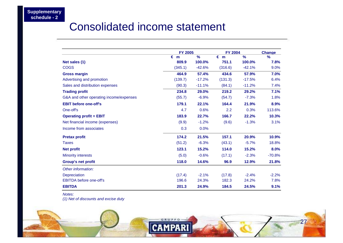#### Consolidated income statement

|                                         | <b>FY 2005</b> |               | <b>FY 2004</b> |               | <b>Change</b> |
|-----------------------------------------|----------------|---------------|----------------|---------------|---------------|
|                                         | €<br>m         | $\frac{9}{6}$ | $\epsilon$ m   | $\frac{9}{6}$ | $\frac{9}{6}$ |
| Net sales (1)                           | 809.9          | 100.0%        | 751.1          | 100.0%        | 7.8%          |
| <b>COGS</b>                             | (345.1)        | $-42.6%$      | (316.6)        | $-42.1%$      | 9.0%          |
| <b>Gross margin</b>                     | 464.9          | 57.4%         | 434.6          | 57.9%         | 7.0%          |
| Advertising and promotion               | (139.7)        | $-17.2%$      | (131.3)        | $-17.5%$      | 6.4%          |
| Sales and distribution expenses         | (90.3)         | $-11.1%$      | (84.1)         | $-11.2%$      | 7.4%          |
| <b>Trading profit</b>                   | 234.8          | 29.0%         | 219.2          | 29.2%         | 7.1%          |
| G&A and other operating income/expenses | (55.7)         | $-6.9%$       | (54.7)         | $-7.3%$       | 1.8%          |
| <b>EBIT before one-off's</b>            | 179.1          | 22.1%         | 164.4          | 21.9%         | 8.9%          |
| One-off's                               | 4.7            | 0.6%          | 2.2            | 0.3%          | 113.6%        |
| <b>Operating profit = EBIT</b>          | 183.9          | 22.7%         | 166.7          | 22.2%         | 10.3%         |
| Net financial income (expenses)         | (9.9)          | $-1.2%$       | (9.6)          | $-1.3%$       | 3.1%          |
| Income from associates                  | 0.3            | 0.0%          |                |               |               |
| <b>Pretax profit</b>                    | 174.2          | 21.5%         | 157.1          | 20.9%         | 10.9%         |
| <b>Taxes</b>                            | (51.2)         | $-6.3%$       | (43.1)         | $-5.7%$       | 18.8%         |
| <b>Net profit</b>                       | 123.1          | 15.2%         | 114.0          | 15.2%         | 8.0%          |
| <b>Minority interests</b>               | (5.0)          | $-0.6%$       | (17.1)         | $-2.3%$       | $-70.8%$      |
| <b>Group's net profit</b>               | 118.0          | 14.6%         | 96.9           | 12.9%         | 21.8%         |
| Other information:                      |                |               |                |               |               |
| <b>Depreciation</b>                     | (17.4)         | $-2.1%$       | (17.8)         | $-2.4%$       | $-2.2%$       |
| <b>EBITDA</b> before one-off's          | 196.6          | 24.3%         | 182.3          | 24.2%         | 7.8%          |
| <b>EBITDA</b>                           | 201.3          | 24.9%         | 184.5          | 24.5%         | 9.1%          |

Notes:

(1) Net of discounts and excise duty

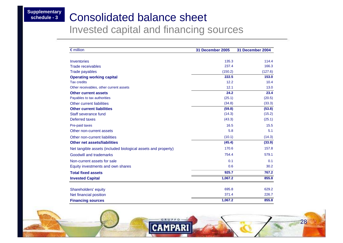#### **Supplementary schedule - 3**

#### Consolidated balance sheet

Invested capital and financing sources

| $\epsilon$ million                                            | 31 December 2005 | 31 December 2004 |
|---------------------------------------------------------------|------------------|------------------|
| <b>Inventories</b>                                            | 135.3            | 114.4            |
| <b>Trade receivables</b>                                      | 237.4            | 166.3            |
| <b>Trade payables</b>                                         | (150.2)          | (127.6)          |
| <b>Operating working capital</b>                              | 222.5            | 153.0            |
| <b>Tax credits</b>                                            | 12.2             | 10.4             |
| Other receivables, other current assets                       | 12.1             | 13.0             |
| <b>Other current assets</b>                                   | 24.2             | 23.4             |
| Payables to tax authorities                                   | (25.1)           | (20.5)           |
| <b>Other current liabilities</b>                              | (34.8)           | (33.3)           |
| <b>Other current liabilities</b>                              | (59.8)           | (53.8)           |
| Staff severance fund                                          | (14.3)           | (15.2)           |
| Deferred taxes                                                | (43.3)           | (25.1)           |
| Pre-paid taxes                                                | 16.5             | 15.5             |
| Other non-current assets                                      | 5.8              | 5.1              |
| Other non-current liabilities                                 | (10.1)           | (14.3)           |
| <b>Other net assets/liabilities</b>                           | (45.4)           | (33.9)           |
| Net tangible assets (included biological assets and property) | 170.6            | 157.8            |
| Goodwill and trademarks                                       | 754.4            | 579.1            |
| Non-current assets for sale                                   | 0.1              | 0.1              |
| Equity investments and own shares                             | 0.6              | 30.2             |
| <b>Total fixed assets</b>                                     | 925.7            | 767.2            |
| <b>Invested Capital</b>                                       | 1,067.2          | 855.8            |
|                                                               | 695.8            | 629.2            |
| Shareholders' equity                                          | 371.4            | 226.7            |
| Net financial position                                        |                  |                  |
| <b>Financing sources</b>                                      | 1,067.2          | 855.8            |

GRUP

**CAMPARI** 

28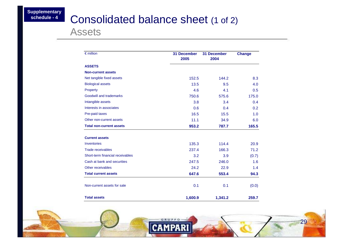### **Consolidated balance sheet (1 of 2)**

Assets

| $\epsilon$ million               | <b>31 December</b><br>2005 | <b>31 December</b><br>2004 | <b>Change</b> |
|----------------------------------|----------------------------|----------------------------|---------------|
| <b>ASSETS</b>                    |                            |                            |               |
| <b>Non-current assets</b>        |                            |                            |               |
| Net tangible fixed assets        | 152.5                      | 144.2                      | 8.3           |
| <b>Biological assets</b>         | 13.5                       | 9.5                        | 4.0           |
| Property                         | 4.6                        | 4.1                        | 0.5           |
| Goodwill and trademarks          | 750.6                      | 575.6                      | 175.0         |
| Intangible assets                | 3.8                        | 3.4                        | 0.4           |
| Interests in associates          | 0.6                        | 0.4                        | 0.2           |
| Pre-paid taxes                   | 16.5                       | 15.5                       | 1.0           |
| Other non-current assets         | 11.1                       | 34.9                       | 6.0           |
| <b>Total non-current assets</b>  | 953.2                      | 787.7                      | 165.5         |
| <b>Current assets</b>            |                            |                            |               |
| <b>Inventories</b>               | 135.3                      | 114.4                      | 20.9          |
| <b>Trade receivables</b>         | 237.4                      | 166.3                      | 71.2          |
| Short-term financial receivables | 3.2                        | 3.9                        | (0.7)         |
| Cash at bank and securities      | 247.5                      | 246.0                      | 1.6           |
| Other receivables                | 24.2                       | 22.9                       | 1.4           |
| <b>Total current assets</b>      | 647.6                      | 553.4                      | 94.3          |
| Non-current assets for sale      | 0.1                        | 0.1                        | (0.0)         |
| <b>Total assets</b>              | 1,600.9                    | 1,341.2                    | 259.7         |

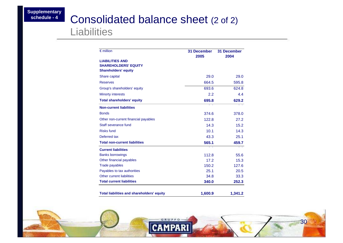#### Consolidated balance sheet (2 of 2)

#### **Liabilities**

| $\epsilon$ million                                | <b>31 December</b><br>2005 | <b>31 December</b><br>2004 |
|---------------------------------------------------|----------------------------|----------------------------|
| <b>LIABILITIES AND</b>                            |                            |                            |
| <b>SHAREHOLDERS' EQUITY</b>                       |                            |                            |
| <b>Shareholders' equity</b>                       |                            |                            |
| Share capital                                     | 29.0                       | 29.0                       |
| <b>Reserves</b>                                   | 664.5                      | 595.8                      |
| Group's shareholders' equity                      | 693.6                      | 624.8                      |
| <b>Minorty interests</b>                          | 2.2                        | 4.4                        |
| <b>Total shareholders' equity</b>                 | 695.8                      | 629.2                      |
| <b>Non-current liabilities</b>                    |                            |                            |
| <b>Bonds</b>                                      | 374.6                      | 378.0                      |
| Other non-current financial payables              | 122.8                      | 27.2                       |
| Staff severance fund                              | 14.3                       | 15.2                       |
| <b>Risks fund</b>                                 | 10.1                       | 14.3                       |
| Deferred tax                                      | 43.3                       | 25.1                       |
| <b>Total non-current liabilities</b>              | 565.1                      | 459.7                      |
| <b>Current liabilities</b>                        |                            |                            |
| <b>Banks borrowings</b>                           | 112.8                      | 55.6                       |
| Other financial payables                          | 17.2                       | 15.3                       |
| <b>Trade payables</b>                             | 150.2                      | 127.6                      |
| Payables to tax authorities                       | 25.1                       | 20.5                       |
| Other current liabilities                         | 34.8                       | 33.3                       |
| <b>Total current liabilities</b>                  | 340.0                      | 252.3                      |
| <b>Total liabilities and shareholders' equity</b> | 1,600.9                    | 1,341.2                    |

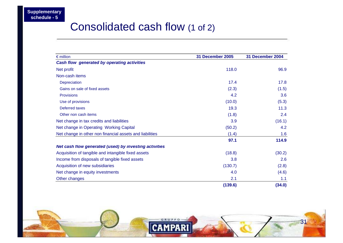### Consolidated cash flow (1 of 2)

| $\epsilon$ million                                       | 31 December 2005 | 31 December 2004 |
|----------------------------------------------------------|------------------|------------------|
| <b>Cash flow generated by operating activities</b>       |                  |                  |
| Net profit                                               | 118.0            | 96.9             |
| Non-cash items                                           |                  |                  |
| Depreciation                                             | 17.4             | 17.8             |
| Gains on sale of fixed assets                            | (2.3)            | (1.5)            |
| <b>Provisions</b>                                        | 4.2              | 3.6              |
| Use of provisions                                        | (10.0)           | (5.3)            |
| Deferred taxes                                           | 19.3             | 11.3             |
| Other non cash items                                     | (1.8)            | 2.4              |
| Net change in tax credits and liabilities                | 3.9              | (16.1)           |
| Net change in Operating Working Capital                  | (50.2)           | 4.2              |
| Net change in other non financial assets and liabilities | (1.4)            | 1.6              |
|                                                          | 97.1             | 114.9            |
| Net cash flow generated (used) by investing activities   |                  |                  |
| Acquisition of tangible and intangible fixed assets      | (18.8)           | (30.2)           |
| Income from disposals of tangible fixed assets           | 3.8              | 2.6              |
| Acquisition of new subsidiaries                          | (130.7)          | (2.8)            |
| Net change in equity investments                         | 4.0              | (4.6)            |
| Other changes                                            | 2.1              | 1.1              |
|                                                          | (139.6)          | (34.0)           |

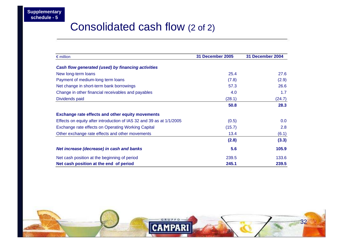### Consolidated cash flow (2 of 2)

| $\epsilon$ million                                                   | <b>31 December 2005</b> | 31 December 2004 |
|----------------------------------------------------------------------|-------------------------|------------------|
| Cash flow generated (used) by financing activities                   |                         |                  |
| New long-term loans                                                  | 25.4                    | 27.6             |
| Payment of medium-long term loans                                    | (7.8)                   | (2.9)            |
| Net change in short-term bank borrowings                             | 57.3                    | 26.6             |
| Change in other financial receivables and payables                   | 4.0                     | 1.7              |
| Dividends paid                                                       | (28.1)                  | (24.7)           |
|                                                                      | 50.8                    | 28.3             |
| <b>Exchange rate effects and other equity movements</b>              |                         |                  |
| Effects on equity after introduction of IAS 32 and 39 as at 1/1/2005 | (0.5)                   | 0.0              |
| Exchange rate effects on Operating Working Capital                   | (15.7)                  | 2.8              |
| Other exchange rate effects and other movements                      | 13.4                    | (6.1)            |
|                                                                      | (2.8)                   | (3.3)            |
| Net increase (decrease) in cash and banks                            | 5.6                     | 105.9            |
| Net cash position at the beginning of period                         | 239.5                   | 133.6            |
| Net cash position at the end of period                               | 245.1                   | 239.5            |

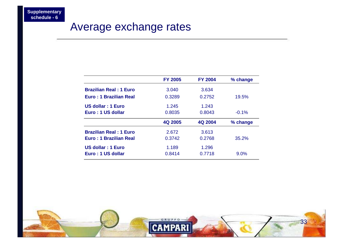### Average exchange rates

|                               | <b>FY 2005</b> | <b>FY 2004</b> | % change |
|-------------------------------|----------------|----------------|----------|
| <b>Brazilian Real: 1 Euro</b> | 3.040          | 3.634          |          |
| Euro: 1 Brazilian Real        | 0.3289         | 0.2752         | 19.5%    |
| US dollar : 1 Euro            | 1.245          | 1.243          |          |
| Euro: 1 US dollar             | 0.8035         | 0.8043         | $-0.1%$  |
|                               |                |                |          |
|                               | 4Q 2005        | 4Q 2004        | % change |
| <b>Brazilian Real: 1 Euro</b> | 2.672          | 3.613          |          |
| Euro: 1 Brazilian Real        | 0.3742         | 0.2768         | 35.2%    |
| US dollar : 1 Euro            | 1.189          | 1.296          |          |